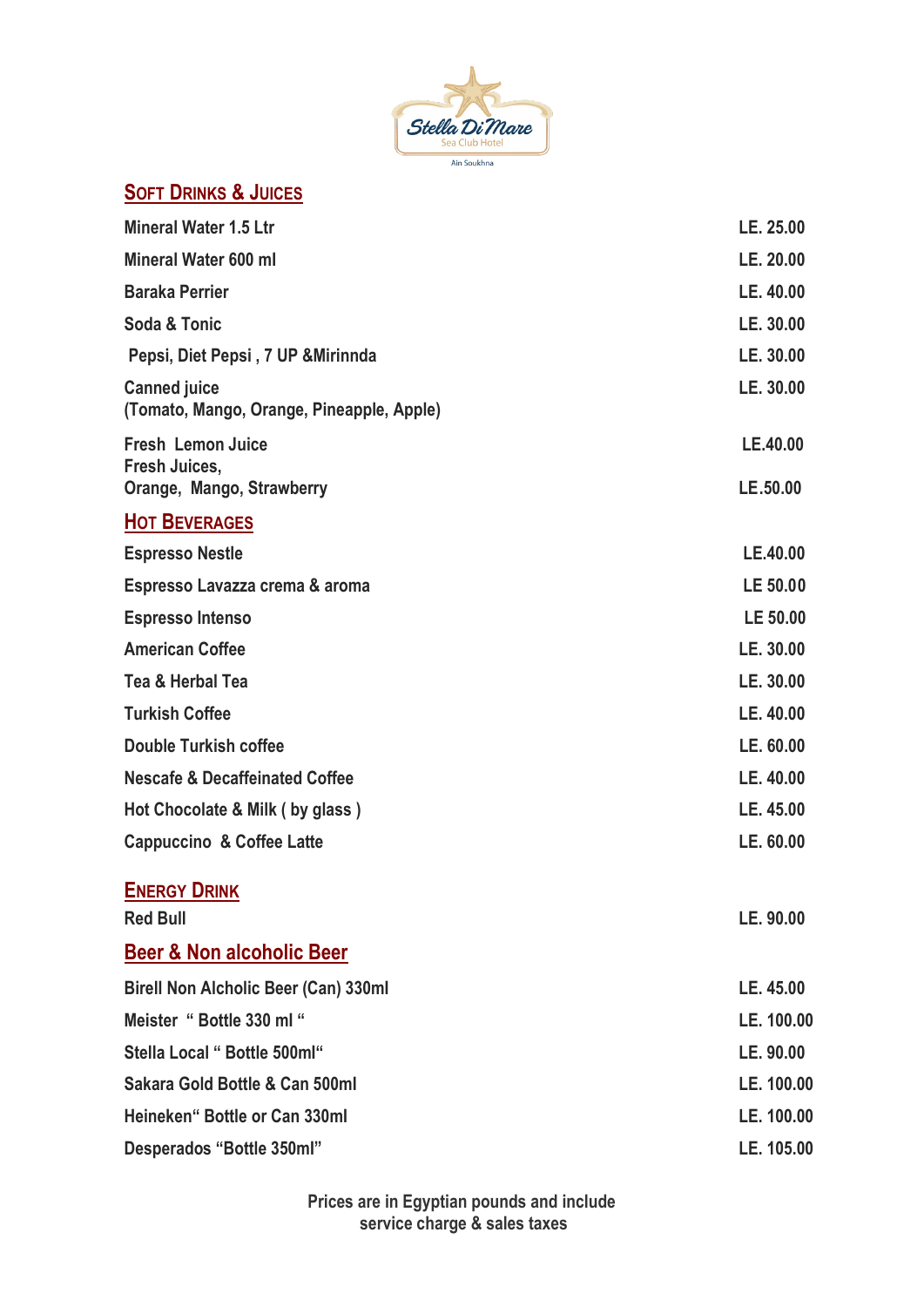

# **SOFT DRINKS & JUICES**

| <b>Mineral Water 1.5 Ltr</b>                                           | LE. 25.00            |
|------------------------------------------------------------------------|----------------------|
| Mineral Water 600 ml                                                   | LE. 20.00            |
| <b>Baraka Perrier</b>                                                  | LE. 40.00            |
| Soda & Tonic                                                           | LE. 30.00            |
| Pepsi, Diet Pepsi, 7 UP & Mirinnda                                     | LE. 30.00            |
| <b>Canned juice</b><br>(Tomato, Mango, Orange, Pineapple, Apple)       | LE. 30.00            |
| <b>Fresh Lemon Juice</b><br>Fresh Juices,<br>Orange, Mango, Strawberry | LE.40.00<br>LE.50.00 |
| <b>HOT BEVERAGES</b>                                                   |                      |
| <b>Espresso Nestle</b>                                                 | LE.40.00             |
| Espresso Lavazza crema & aroma                                         | LE 50.00             |
| <b>Espresso Intenso</b>                                                | LE 50.00             |
| <b>American Coffee</b>                                                 | LE. 30.00            |
| Tea & Herbal Tea                                                       | LE. 30.00            |
| <b>Turkish Coffee</b>                                                  | LE. 40.00            |
| <b>Double Turkish coffee</b>                                           | LE. 60.00            |
| <b>Nescafe &amp; Decaffeinated Coffee</b>                              | LE. 40.00            |
| Hot Chocolate & Milk (by glass)                                        | LE. 45.00            |
| <b>Cappuccino &amp; Coffee Latte</b>                                   | LE. 60.00            |
| <b>ENERGY DRINK</b><br><b>Red Bull</b>                                 | LE. 90.00            |
| <b>Beer &amp; Non alcoholic Beer</b>                                   |                      |
| <b>Birell Non Alcholic Beer (Can) 330ml</b>                            | LE. 45.00            |
| Meister "Bottle 330 ml"                                                | LE. 100.00           |
| Stella Local " Bottle 500ml"                                           | LE. 90.00            |
| Sakara Gold Bottle & Can 500ml                                         | LE. 100.00           |
| Heineken" Bottle or Can 330ml                                          | LE. 100.00           |
| Desperados "Bottle 350ml"                                              | LE. 105.00           |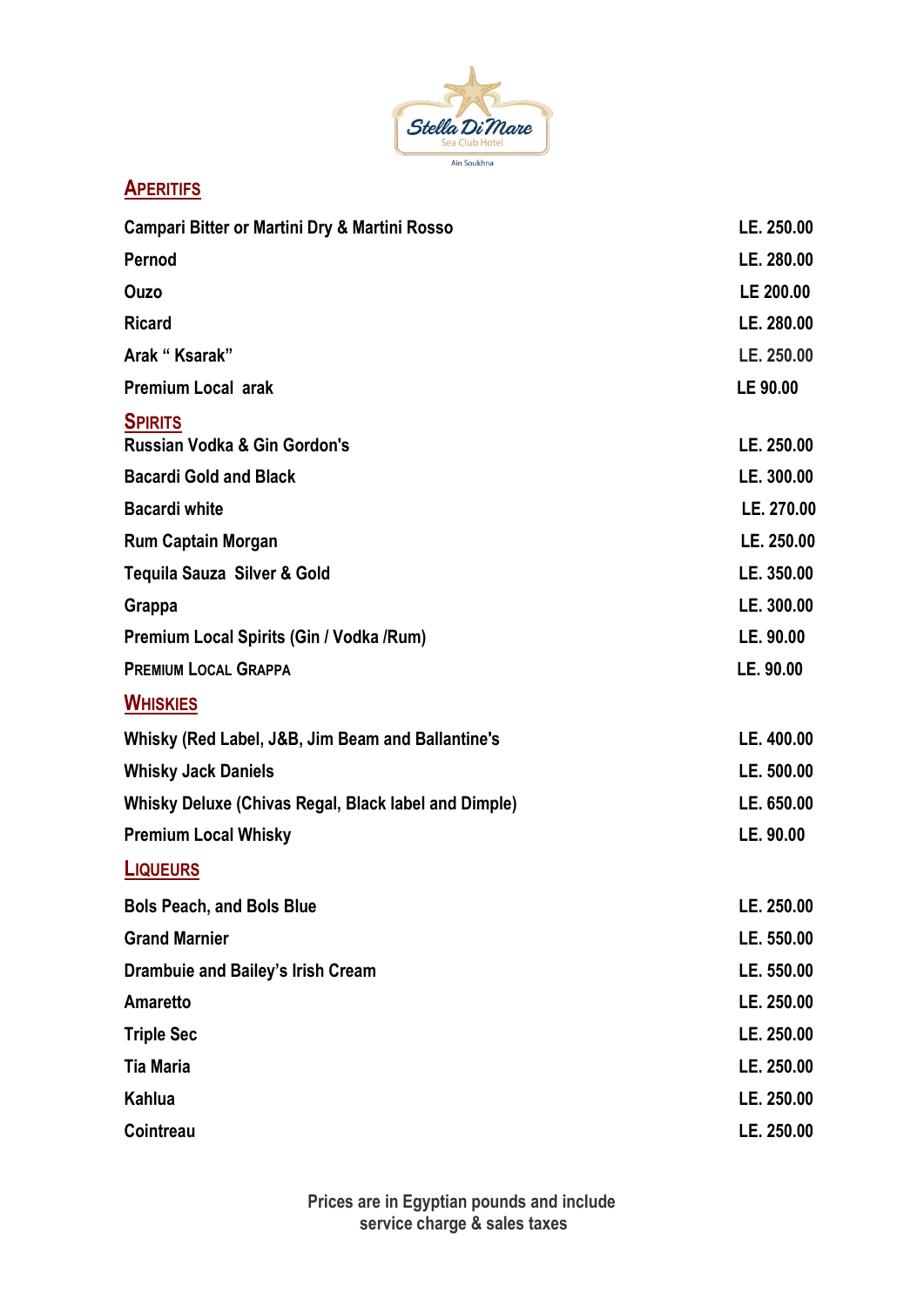

**APERITIFS**

| Campari Bitter or Martini Dry & Martini Rosso             | LE. 250.00 |
|-----------------------------------------------------------|------------|
| Pernod                                                    | LE. 280.00 |
| Ouzo                                                      | LE 200.00  |
| <b>Ricard</b>                                             | LE. 280.00 |
| Arak "Ksarak"                                             | LE. 250.00 |
| <b>Premium Local arak</b>                                 | LE 90.00   |
| <b>SPIRITS</b><br><b>Russian Vodka &amp; Gin Gordon's</b> | LE. 250.00 |
| <b>Bacardi Gold and Black</b>                             | LE. 300.00 |
| <b>Bacardi white</b>                                      | LE. 270.00 |
| <b>Rum Captain Morgan</b>                                 | LE. 250.00 |
| Tequila Sauza Silver & Gold                               | LE. 350.00 |
| Grappa                                                    | LE. 300.00 |
| Premium Local Spirits (Gin / Vodka / Rum)                 | LE. 90.00  |
| <b>PREMIUM LOCAL GRAPPA</b>                               | LE. 90.00  |
| <b>WHISKIES</b>                                           |            |
| Whisky (Red Label, J&B, Jim Beam and Ballantine's         | LE. 400.00 |
| <b>Whisky Jack Daniels</b>                                | LE. 500.00 |
| Whisky Deluxe (Chivas Regal, Black label and Dimple)      | LE. 650.00 |
| <b>Premium Local Whisky</b>                               | LE. 90.00  |
| <b>LIQUEURS</b>                                           |            |
| <b>Bols Peach, and Bols Blue</b>                          | LE. 250.00 |
| <b>Grand Marnier</b>                                      | LE. 550.00 |
| Drambuie and Bailey's Irish Cream                         | LE. 550.00 |
| <b>Amaretto</b>                                           | LE. 250.00 |
| <b>Triple Sec</b>                                         | LE. 250.00 |
| <b>Tia Maria</b>                                          | LE. 250.00 |
| Kahlua                                                    | LE. 250.00 |
| Cointreau                                                 | LE. 250.00 |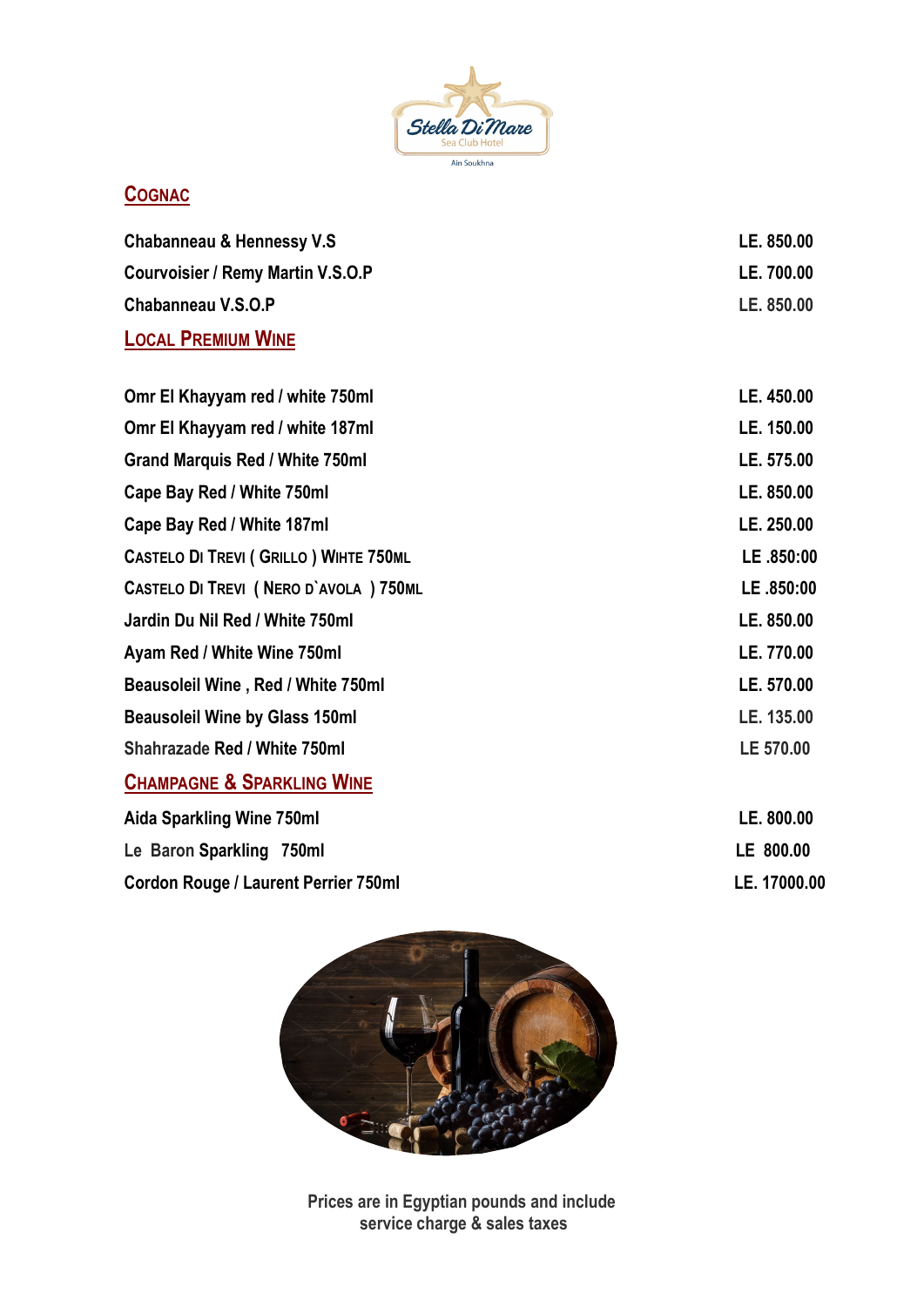

# **COGNAC**

| Chabanneau & Hennessy V.S                | LE. 850.00 |
|------------------------------------------|------------|
| <b>Courvoisier / Remy Martin V.S.O.P</b> | LE. 700.00 |
| Chabanneau V.S.O.P                       | LE. 850.00 |
| <b>LOCAL PREMIUM WINE</b>                |            |

| Omr El Khayyam red / white 750ml               | LE. 450.00 |
|------------------------------------------------|------------|
| Omr El Khayyam red / white 187ml               | LE. 150.00 |
| <b>Grand Marquis Red / White 750ml</b>         | LE. 575.00 |
| Cape Bay Red / White 750ml                     | LE. 850.00 |
| Cape Bay Red / White 187ml                     | LE. 250.00 |
| <b>CASTELO DI TREVI ( GRILLO ) WIHTE 750ML</b> | LE .850:00 |
| CASTELO DI TREVI (NERO D'AVOLA ) 750ML         | LE.850:00  |
| Jardin Du Nil Red / White 750ml                | LE. 850.00 |
| Ayam Red / White Wine 750ml                    | LE. 770.00 |
| Beausoleil Wine, Red / White 750ml             | LE. 570.00 |
| <b>Beausoleil Wine by Glass 150ml</b>          | LE. 135.00 |
| <b>Shahrazade Red / White 750ml</b>            | LE 570.00  |
| <b>CHAMPAGNE &amp; SPARKLING WINE</b>          |            |
| Aida Sparkling Wine 750ml                      | LE. 800.00 |

| <b>AIUA UPAINIIIY IIIIIG I JUIIII</b> | LL. UVV.VV   |
|---------------------------------------|--------------|
| Le Baron Sparkling 750ml              | LE 800.00    |
| Cordon Rouge / Laurent Perrier 750ml  | LE. 17000.00 |



**Prices are in Egyptian pounds and include service charge & sales taxes**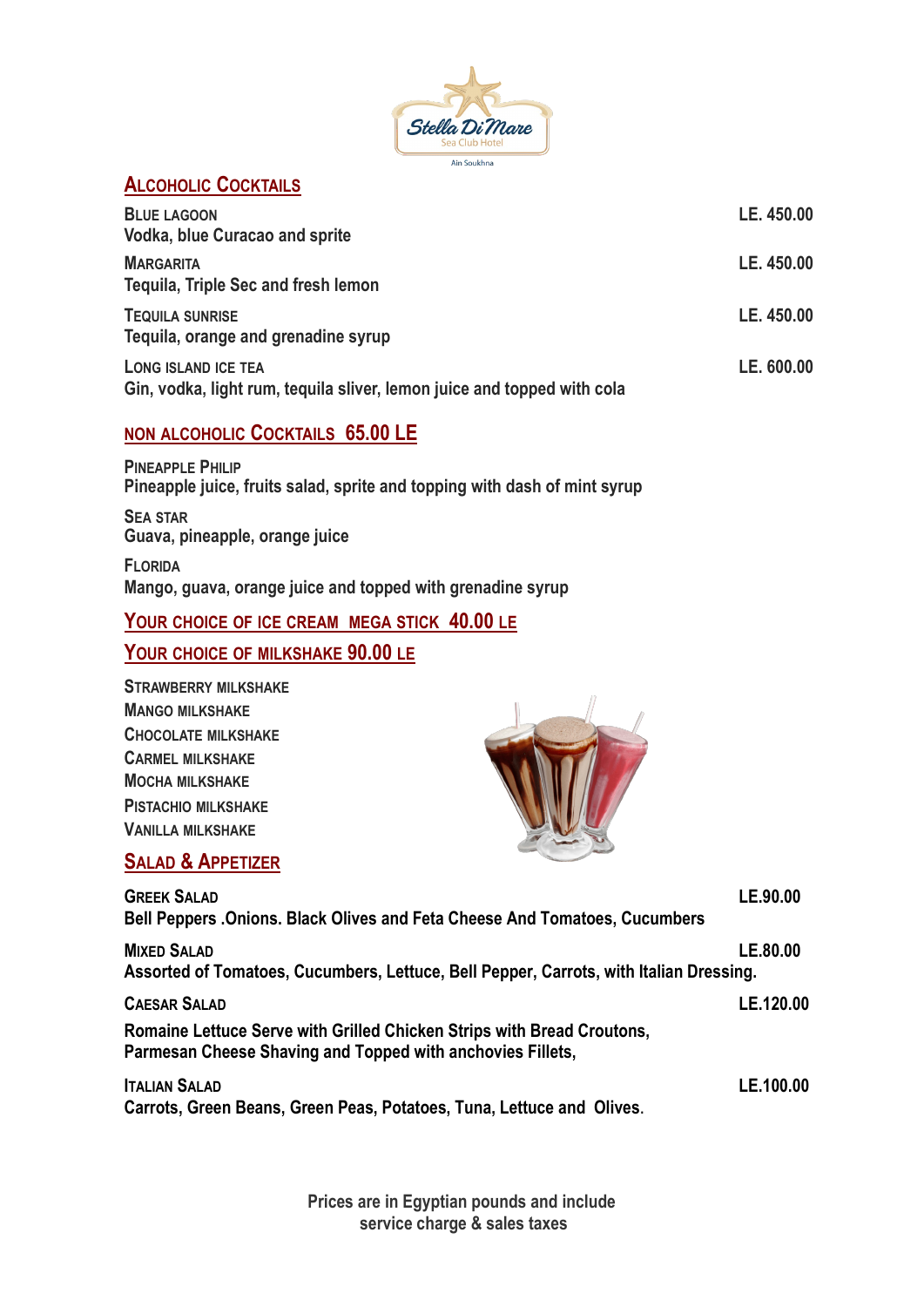

## **ALCOHOLIC COCKTAILS**

| <b>BLUE LAGOON</b><br><b>Vodka, blue Curacao and sprite</b>                                    | LE. 450.00 |
|------------------------------------------------------------------------------------------------|------------|
| <b>MARGARITA</b><br>Tequila, Triple Sec and fresh lemon                                        | LE. 450.00 |
| <b>TEQUILA SUNRISE</b><br>Tequila, orange and grenadine syrup                                  | LE. 450.00 |
| LONG ISLAND ICE TEA<br>Gin, vodka, light rum, tequila sliver, lemon juice and topped with cola | LE. 600.00 |

#### **NON ALCOHOLIC COCKTAILS 65.00 LE**

**PINEAPPLE PHILIP Pineapple juice, fruits salad, sprite and topping with dash of mint syrup**

**SEA STAR Guava, pineapple, orange juice** 

**FLORIDA Mango, guava, orange juice and topped with grenadine syrup**

#### **YOUR CHOICE OF ICE CREAM MEGA STICK 40.00 LE**

## **YOUR CHOICE OF MILKSHAKE 90.00 LE**

| <b>STRAWBERRY MILKSHAKE</b> |
|-----------------------------|
| <b>MANGO MILKSHAKE</b>      |
| <b>CHOCOLATE MILKSHAKE</b>  |
| <b>CARMEL MILKSHAKE</b>     |
| <b>MOCHA MILKSHAKE</b>      |
| <b>PISTACHIO MILKSHAKE</b>  |
| <b>VANILLA MILKSHAKE</b>    |





| <b>GREEK SALAD</b>                                                                     | LE.90.00  |
|----------------------------------------------------------------------------------------|-----------|
| Bell Peppers . Onions. Black Olives and Feta Cheese And Tomatoes, Cucumbers            |           |
| <b>MIXED SALAD</b>                                                                     | LE.80.00  |
| Assorted of Tomatoes, Cucumbers, Lettuce, Bell Pepper, Carrots, with Italian Dressing. |           |
| <b>CAESAR SALAD</b>                                                                    | LE.120.00 |
| Romaine Lettuce Serve with Grilled Chicken Strips with Bread Croutons,                 |           |
| Parmesan Cheese Shaving and Topped with anchovies Fillets,                             |           |
| <b>ITALIAN SALAD</b>                                                                   | LE.100.00 |
| Carrots, Green Beans, Green Peas, Potatoes, Tuna, Lettuce and Olives.                  |           |

**Prices are in Egyptian pounds and include service charge & sales taxes**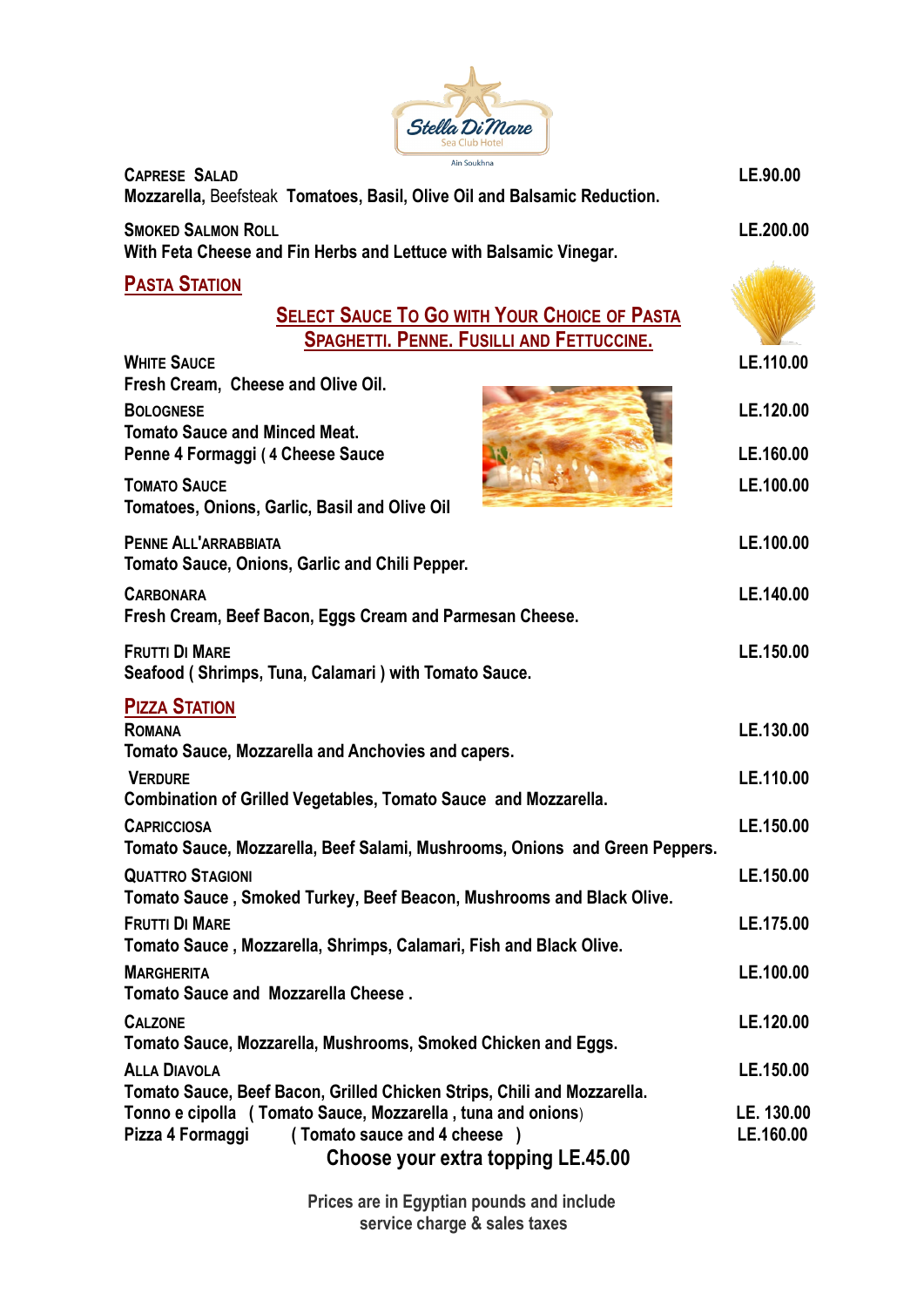

| <b>CAPRESE SALAD</b><br>Mozzarella, Beefsteak Tomatoes, Basil, Olive Oil and Balsamic Reduction.                                                     | LE.90.00                |
|------------------------------------------------------------------------------------------------------------------------------------------------------|-------------------------|
| <b>SMOKED SALMON ROLL</b><br>With Feta Cheese and Fin Herbs and Lettuce with Balsamic Vinegar.                                                       | LE.200.00               |
| <b>PASTA STATION</b>                                                                                                                                 |                         |
| <b>SELECT SAUCE TO GO WITH YOUR CHOICE OF PASTA</b><br><b>SPAGHETTI. PENNE. FUSILLI AND FETTUCCINE.</b>                                              |                         |
| <b>WHITE SAUCE</b><br>Fresh Cream, Cheese and Olive Oil.                                                                                             | LE.110.00               |
| <b>BOLOGNESE</b><br><b>Tomato Sauce and Minced Meat.</b>                                                                                             | LE.120.00               |
| Penne 4 Formaggi (4 Cheese Sauce                                                                                                                     | LE.160.00               |
| <b>TOMATO SAUCE</b><br>Tomatoes, Onions, Garlic, Basil and Olive Oil                                                                                 | LE.100.00               |
| <b>PENNE ALL'ARRABBIATA</b><br>Tomato Sauce, Onions, Garlic and Chili Pepper.                                                                        | LE.100.00               |
| <b>CARBONARA</b><br>Fresh Cream, Beef Bacon, Eggs Cream and Parmesan Cheese.                                                                         | LE.140.00               |
| <b>FRUTTI DI MARE</b><br>Seafood (Shrimps, Tuna, Calamari) with Tomato Sauce.                                                                        | LE.150.00               |
| <b>PIZZA STATION</b>                                                                                                                                 |                         |
| <b>ROMANA</b><br>Tomato Sauce, Mozzarella and Anchovies and capers.                                                                                  | LE.130.00               |
| <b>VERDURE</b>                                                                                                                                       | LE.110.00               |
| <b>Combination of Grilled Vegetables, Tomato Sauce and Mozzarella.</b>                                                                               |                         |
| <b>CAPRICCIOSA</b><br>Tomato Sauce, Mozzarella, Beef Salami, Mushrooms, Onions and Green Peppers.                                                    | LE.150.00               |
| <b>QUATTRO STAGIONI</b>                                                                                                                              | LE.150.00               |
| Tomato Sauce, Smoked Turkey, Beef Beacon, Mushrooms and Black Olive.<br><b>FRUTTI DI MARE</b>                                                        | LE.175.00               |
| Tomato Sauce, Mozzarella, Shrimps, Calamari, Fish and Black Olive.                                                                                   |                         |
| <b>MARGHERITA</b><br><b>Tomato Sauce and Mozzarella Cheese.</b>                                                                                      | LE.100.00               |
| <b>CALZONE</b>                                                                                                                                       | LE.120.00               |
| Tomato Sauce, Mozzarella, Mushrooms, Smoked Chicken and Eggs.<br><b>ALLA DIAVOLA</b>                                                                 | LE.150.00               |
| Tomato Sauce, Beef Bacon, Grilled Chicken Strips, Chili and Mozzarella.                                                                              |                         |
| Tonno e cipolla (Tomato Sauce, Mozzarella, tuna and onions)<br>(Tomato sauce and 4 cheese)<br>Pizza 4 Formaggi<br>Choose your extra topping LE.45.00 | LE. 130.00<br>LE.160.00 |

**Prices are in Egyptian pounds and include service charge & sales taxes**